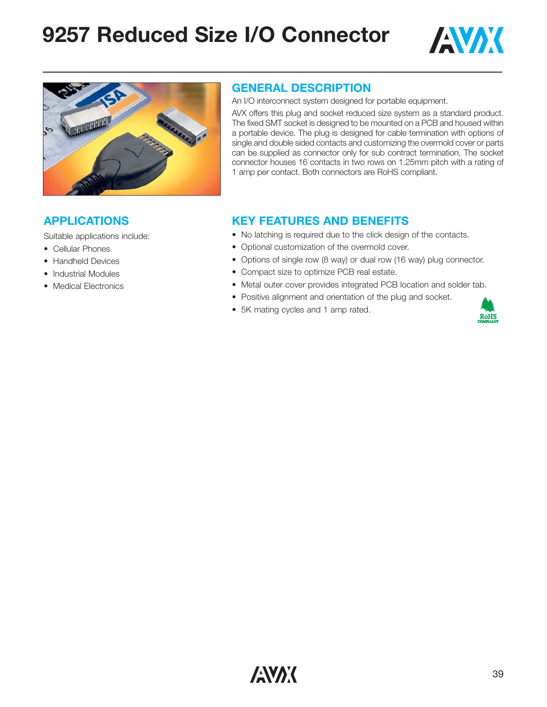# **9257 Reduced Size I/O Connector**





#### **GENERAL DESCRIPTION**

An I/O interconnect system designed for portable equipment.

AVX offers this plug and socket reduced size system as a standard product. The fixed SMT socket is designed to be mounted on a PCB and housed within a portable device. The plug is designed for cable termination with options of single and double sided contacts and customizing the overmold cover or parts can be supplied as connector only for sub contract termination. The socket connector houses 16 contacts in two rows on 1.25mm pitch with a rating of 1 amp per contact. Both connectors are RoHS compliant.

#### **APPLICATIONS**

Suitable applications include:

- Cellular Phones
- Handheld Devices
- Industrial Modules
- Medical Electronics

#### **KEY FEATURES AND BENEFITS**

- No latching is required due to the click design of the contacts.
- Optional customization of the overmold cover.
- Options of single row (8 way) or dual row (16 way) plug connector.
- Compact size to optimize PCB real estate.
- Metal outer cover provides integrated PCB location and solder tab.
- Positive alignment and orientation of the plug and socket.
- 5K mating cycles and 1 amp rated.

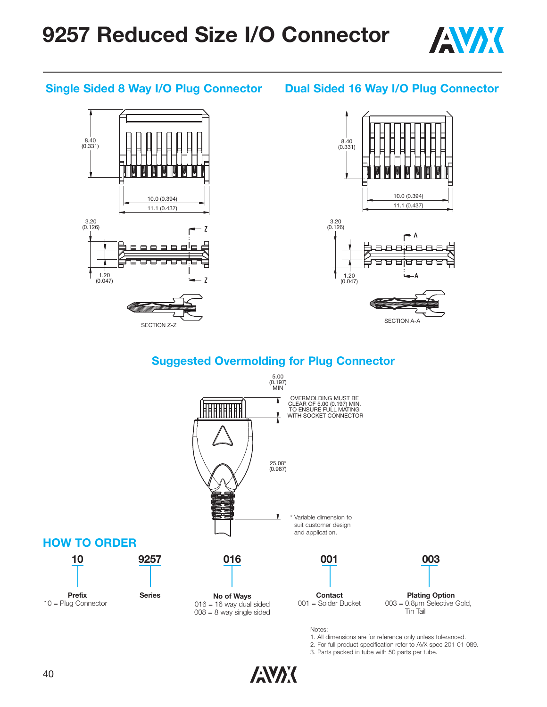

#### **Single Sided 8 Way I/O Plug Connector**

#### **Dual Sided 16 Way I/O Plug Connector**





SECTION A-A

### **Suggested Overmolding for Plug Connector**



1. All dimensions are for reference only unless toleranced.

2. For full product specification refer to AVX spec 201-01-089.

3. Parts packed in tube with 50 parts per tube.

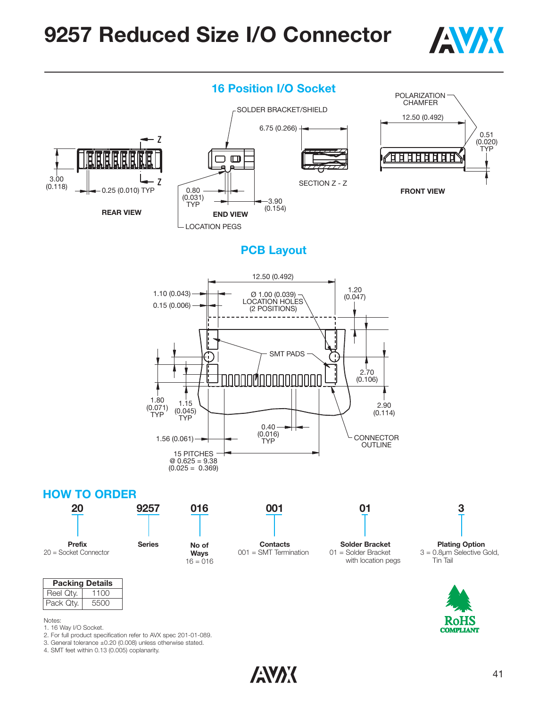## **9257 Reduced Size I/O Connector**





#### **PCB Layout**



#### **016 No of Ways**  $16 = 016$ **001 Contacts** 001 = SMT Termination **01 Solder Bracket** 01 = Solder Bracket with location pegs **20 Prefix** 20 = Socket Connector **9257 Series 3 Plating Option** 3 = 0.8µm Selective Gold, Tin Tail



| Note: |  |
|-------|--|
|       |  |

1. 16 Way I/O Socket.

**Packing Details** Reel Qty. 1100 Pack Qty. | 5500

- 2. For full product specification refer to AVX spec 201-01-089.
- 3. General tolerance ±0.20 (0.008) unless otherwise stated.

4. SMT feet within 0.13 (0.005) coplanarity.

**ANAK**